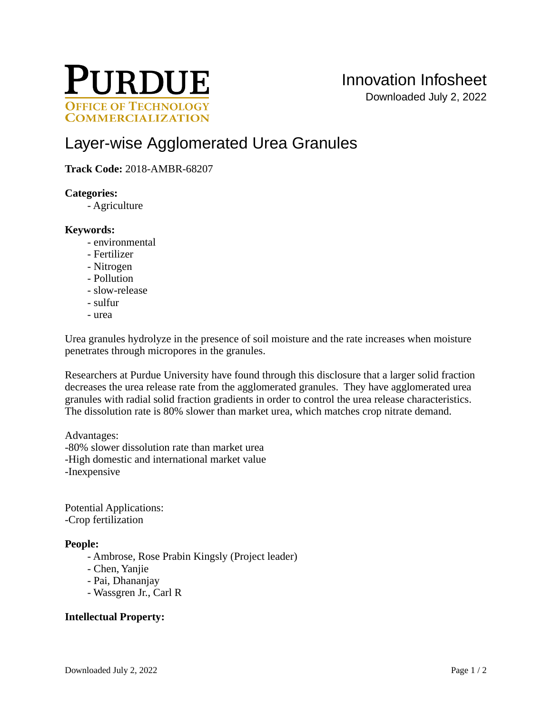

# [Layer-wise Agglomerated Urea Granules](https://inventions.prf.org/innovation/6810)

## **Track Code:** 2018-AMBR-68207

#### **Categories:**

- Agriculture

#### **Keywords:**

- environmental
- Fertilizer
- Nitrogen
- Pollution
- slow-release
- sulfur
- urea

Urea granules hydrolyze in the presence of soil moisture and the rate increases when moisture penetrates through micropores in the granules.

Researchers at Purdue University have found through this disclosure that a larger solid fraction decreases the urea release rate from the agglomerated granules. They have agglomerated urea granules with radial solid fraction gradients in order to control the urea release characteristics. The dissolution rate is 80% slower than market urea, which matches crop nitrate demand.

Advantages: -80% slower dissolution rate than market urea -High domestic and international market value -Inexpensive

Potential Applications: -Crop fertilization

#### **People:**

- Ambrose, Rose Prabin Kingsly (Project leader)
- Chen, Yanjie
- Pai, Dhananjay
- Wassgren Jr., Carl R

### **Intellectual Property:**